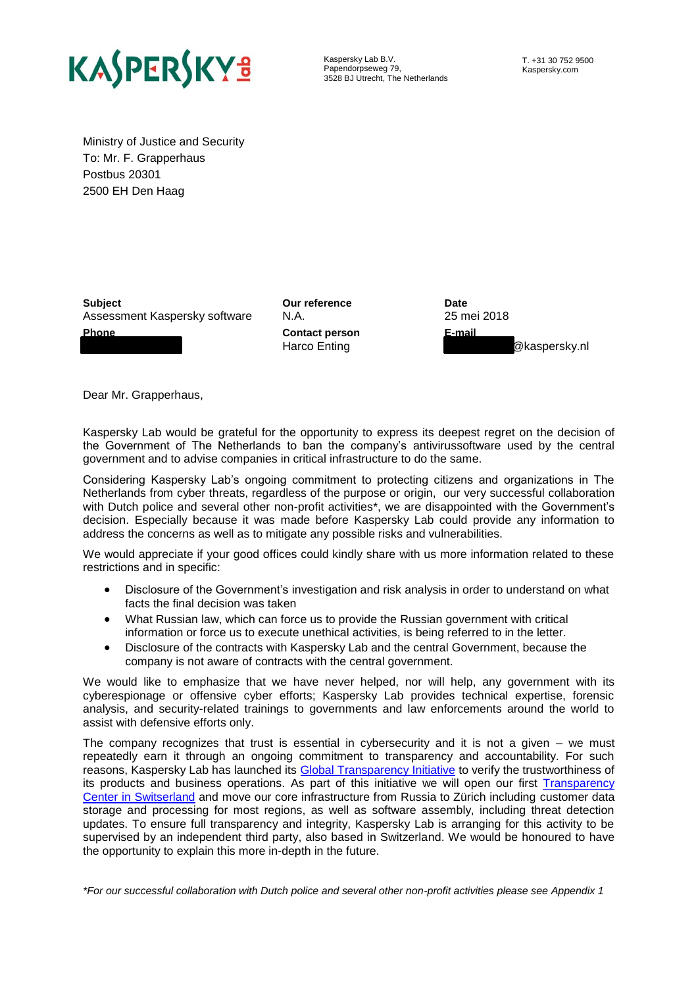

Kaspersky Lab B.V. Papendorpseweg 79, 3528 BJ Utrecht, The Netherlands

Ministry of Justice and Security To: Mr. F. Grapperhaus Postbus 20301 2500 EH Den Haag

**Subject Date**<br> **Our reference Date Date**<br> **Constant**<br> **Date Constant**<br> **Constant**<br> **Constant**<br> **Constant**<br> **Constant**<br> **Constant**<br> **Constant**<br> **Constant**<br> **Constant**<br> **Constant**<br> **Constant**<br> **Constant**<br> **Constant** Assessment Kaspersky software N.A. **Phone Contact person E-mail**

+31 6 - 5521 3804 Harco Enting Harco.Enting@kaspersky.nl

Dear Mr. Grapperhaus,

Kaspersky Lab would be grateful for the opportunity to express its deepest regret on the decision of the Government of The Netherlands to ban the company's antivirussoftware used by the central government and to advise companies in critical infrastructure to do the same.

Considering Kaspersky Lab's ongoing commitment to protecting citizens and organizations in The Netherlands from cyber threats, regardless of the purpose or origin, our very successful collaboration with Dutch police and several other non-profit activities\*, we are disappointed with the Government's decision. Especially because it was made before Kaspersky Lab could provide any information to address the concerns as well as to mitigate any possible risks and vulnerabilities.

We would appreciate if your good offices could kindly share with us more information related to these restrictions and in specific:

- Disclosure of the Government's investigation and risk analysis in order to understand on what facts the final decision was taken
- What Russian law, which can force us to provide the Russian government with critical information or force us to execute unethical activities, is being referred to in the letter.
- Disclosure of the contracts with Kaspersky Lab and the central Government, because the company is not aware of contracts with the central government.

We would like to emphasize that we have never helped, nor will help, any government with its cyberespionage or offensive cyber efforts; Kaspersky Lab provides technical expertise, forensic analysis, and security-related trainings to governments and law enforcements around the world to assist with defensive efforts only.

The company recognizes that trust is essential in cybersecurity and it is not a given – we must repeatedly earn it through an ongoing commitment to transparency and accountability. For such reasons, Kaspersky Lab has launched its [Global Transparency Initiative](https://usa.kaspersky.com/about/press-releases/2017_trust-first-kaspersky-lab-launches-its-global-transparency-initiative) to verify the trustworthiness of its products and business operations. As part of this initiative we will open our first [Transparency](https://www.kaspersky.com/about/press-releases/2018_kaspersky-lab-moving-core-infrastructure-to-switzerland)  [Center in Switserland](https://www.kaspersky.com/about/press-releases/2018_kaspersky-lab-moving-core-infrastructure-to-switzerland) and move our core infrastructure from Russia to Zürich including customer data storage and processing for most regions, as well as software assembly, including threat detection updates. To ensure full transparency and integrity, Kaspersky Lab is arranging for this activity to be supervised by an independent third party, also based in Switzerland. We would be honoured to have the opportunity to explain this more in-depth in the future.

*\*For our successful collaboration with Dutch police and several other non-profit activities please see Appendix 1*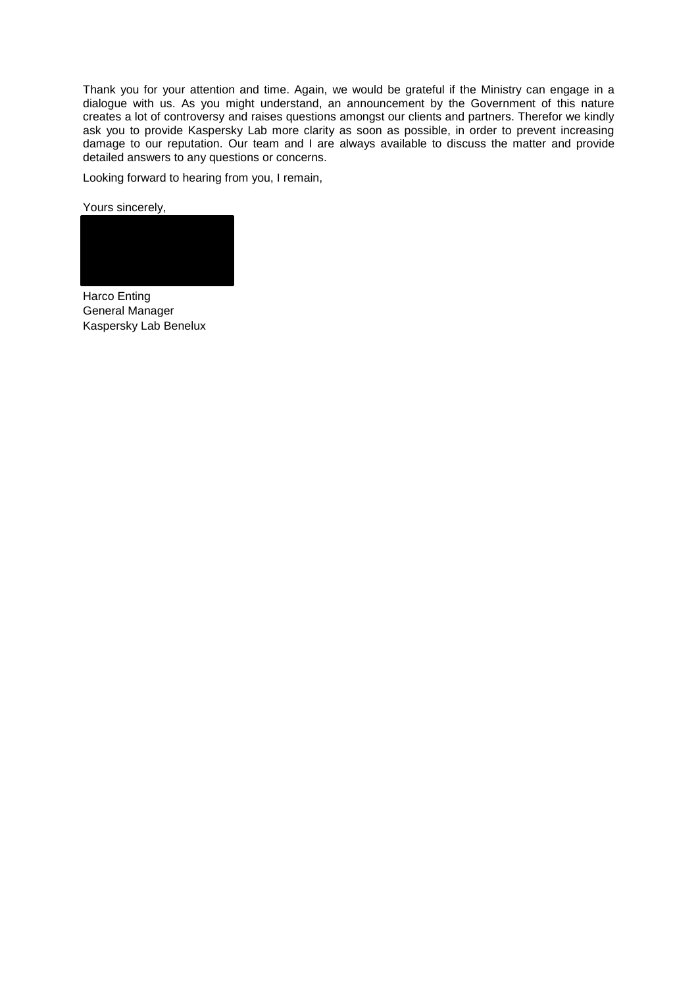Thank you for your attention and time. Again, we would be grateful if the Ministry can engage in a dialogue with us. As you might understand, an announcement by the Government of this nature creates a lot of controversy and raises questions amongst our clients and partners. Therefor we kindly ask you to provide Kaspersky Lab more clarity as soon as possible, in order to prevent increasing damage to our reputation. Our team and I are always available to discuss the matter and provide detailed answers to any questions or concerns.

Looking forward to hearing from you, I remain,

Yours sincerely,



Harco Enting General Manager Kaspersky Lab Benelux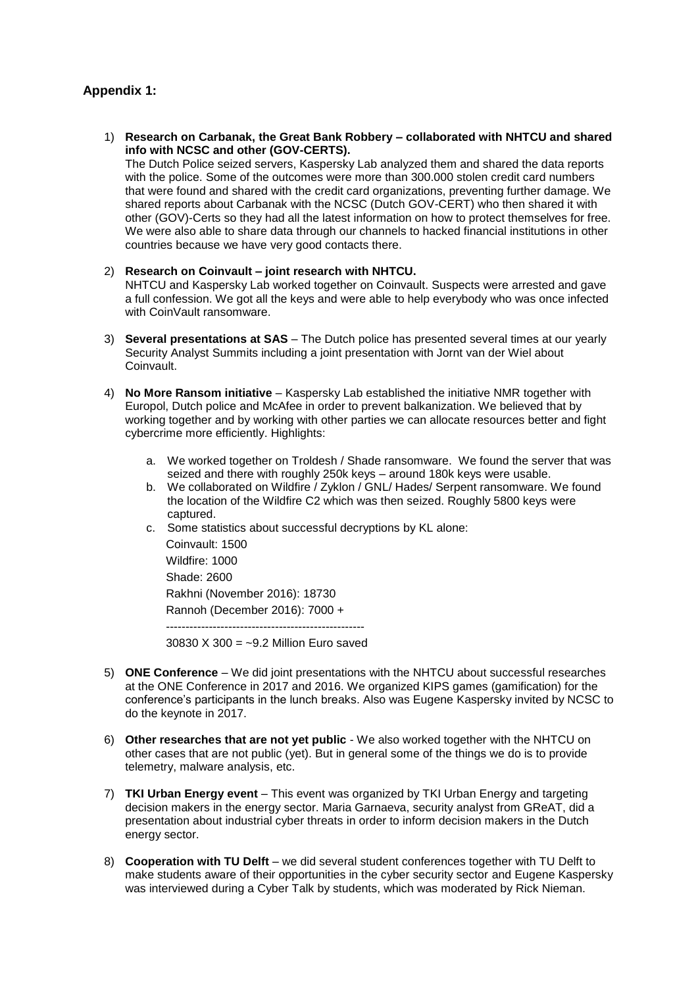## **Appendix 1:**

1) **Research on Carbanak, the Great Bank Robbery – collaborated with NHTCU and shared info with NCSC and other (GOV-CERTS).** 

The Dutch Police seized servers, Kaspersky Lab analyzed them and shared the data reports with the police. Some of the outcomes were more than 300.000 stolen credit card numbers that were found and shared with the credit card organizations, preventing further damage. We shared reports about Carbanak with the NCSC (Dutch GOV-CERT) who then shared it with other (GOV)-Certs so they had all the latest information on how to protect themselves for free. We were also able to share data through our channels to hacked financial institutions in other countries because we have very good contacts there.

2) **Research on Coinvault – joint research with NHTCU.** NHTCU and Kaspersky Lab worked together on Coinvault. Suspects were arrested and gave

a full confession. We got all the keys and were able to help everybody who was once infected with CoinVault ransomware.

- 3) **Several presentations at SAS** The Dutch police has presented several times at our yearly Security Analyst Summits including a joint presentation with Jornt van der Wiel about Coinvault.
- 4) **No More Ransom initiative** Kaspersky Lab established the initiative NMR together with Europol, Dutch police and McAfee in order to prevent balkanization. We believed that by working together and by working with other parties we can allocate resources better and fight cybercrime more efficiently. Highlights:
	- a. We worked together on Troldesh / Shade ransomware. We found the server that was seized and there with roughly 250k keys – around 180k keys were usable.
	- b. We collaborated on Wildfire / Zyklon / GNL/ Hades/ Serpent ransomware. We found the location of the Wildfire C2 which was then seized. Roughly 5800 keys were captured.
	- c. Some statistics about successful decryptions by KL alone:

Coinvault: 1500 Wildfire: 1000 Shade: 2600 Rakhni (November 2016): 18730 Rannoh (December 2016): 7000 + ---------------------------------------------------

30830 X 300 = ~9.2 Million Euro saved

- 5) **ONE Conference** We did joint presentations with the NHTCU about successful researches at the ONE Conference in 2017 and 2016. We organized KIPS games (gamification) for the conference's participants in the lunch breaks. Also was Eugene Kaspersky invited by NCSC to do the keynote in 2017.
- 6) **Other researches that are not yet public** We also worked together with the NHTCU on other cases that are not public (yet). But in general some of the things we do is to provide telemetry, malware analysis, etc.
- 7) **TKI Urban Energy event** This event was organized by TKI Urban Energy and targeting decision makers in the energy sector. Maria Garnaeva, security analyst from GReAT, did a presentation about industrial cyber threats in order to inform decision makers in the Dutch energy sector.
- 8) **Cooperation with TU Delft** we did several student conferences together with TU Delft to make students aware of their opportunities in the cyber security sector and Eugene Kaspersky was interviewed during a Cyber Talk by students, which was moderated by Rick Nieman.